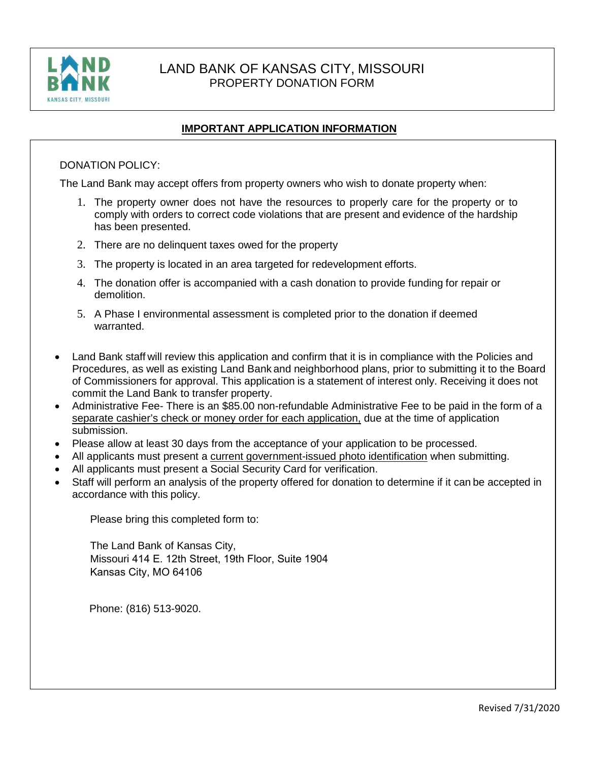

# LAND BANK OF KANSAS CITY, MISSOURI PROPERTY DONATION FORM

## **IMPORTANT APPLICATION INFORMATION**

#### DONATION POLICY:

The Land Bank may accept offers from property owners who wish to donate property when:

- 1. The property owner does not have the resources to properly care for the property or to comply with orders to correct code violations that are present and evidence of the hardship has been presented.
- 2. There are no delinquent taxes owed for the property
- 3. The property is located in an area targeted for redevelopment efforts.
- 4. The donation offer is accompanied with a cash donation to provide funding for repair or demolition.
- 5. A Phase I environmental assessment is completed prior to the donation if deemed warranted.
- Land Bank staff will review this application and confirm that it is in compliance with the Policies and Procedures, as well as existing Land Bank and neighborhood plans, prior to submitting it to the Board of Commissioners for approval. This application is a statement of interest only. Receiving it does not commit the Land Bank to transfer property.
- Administrative Fee- There is an \$85.00 non-refundable Administrative Fee to be paid in the form of a separate cashier's check or money order for each application, due at the time of application submission.
- Please allow at least 30 days from the acceptance of your application to be processed.
- All applicants must present a current government-issued photo identification when submitting.
- All applicants must present a Social Security Card for verification.
- Staff will perform an analysis of the property offered for donation to determine if it can be accepted in accordance with this policy.

Please bring this completed form to:

The Land Bank of Kansas City, Missouri 414 E. 12th Street, 19th Floor, Suite 1904 Kansas City, MO 64106

Phone: (816) 513-9020.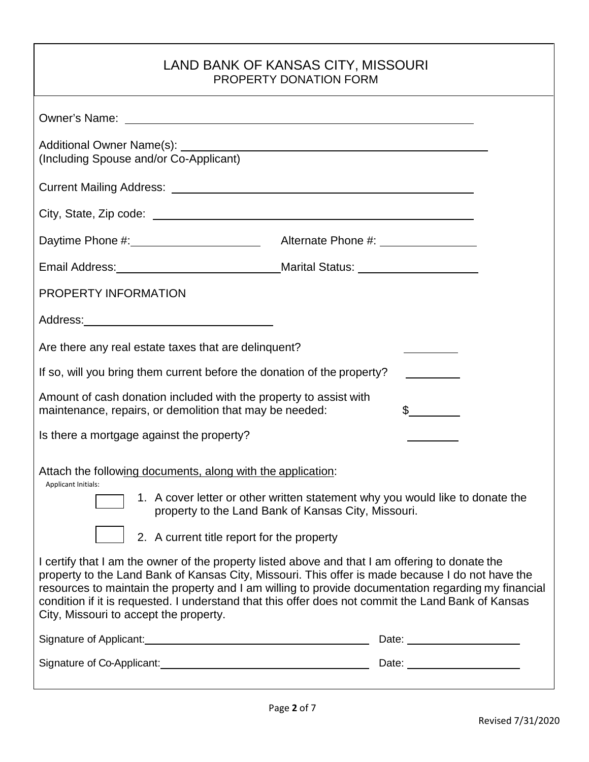# LAND BANK OF KANSAS CITY, MISSOURI PROPERTY DONATION FORM

| Daytime Phone #: 1.1.1.2010 Alternate Phone #: 2.2.2.2.2.2.2.2.2.2.2.2.2.2.2.2.2.                                                                                                                                                                                                                                                                                                                                                                          |  |                           |  |
|------------------------------------------------------------------------------------------------------------------------------------------------------------------------------------------------------------------------------------------------------------------------------------------------------------------------------------------------------------------------------------------------------------------------------------------------------------|--|---------------------------|--|
|                                                                                                                                                                                                                                                                                                                                                                                                                                                            |  |                           |  |
| PROPERTY INFORMATION                                                                                                                                                                                                                                                                                                                                                                                                                                       |  |                           |  |
|                                                                                                                                                                                                                                                                                                                                                                                                                                                            |  |                           |  |
| Are there any real estate taxes that are delinguent?<br>the control of the control of the                                                                                                                                                                                                                                                                                                                                                                  |  |                           |  |
| If so, will you bring them current before the donation of the property?                                                                                                                                                                                                                                                                                                                                                                                    |  |                           |  |
| Amount of cash donation included with the property to assist with<br>$\frac{1}{2}$<br>maintenance, repairs, or demolition that may be needed:                                                                                                                                                                                                                                                                                                              |  |                           |  |
| Is there a mortgage against the property?                                                                                                                                                                                                                                                                                                                                                                                                                  |  | <u> The Communication</u> |  |
| Attach the following documents, along with the application:<br>Applicant Initials:<br>1. A cover letter or other written statement why you would like to donate the<br>property to the Land Bank of Kansas City, Missouri.<br>2. A current title report for the property                                                                                                                                                                                   |  |                           |  |
| I certify that I am the owner of the property listed above and that I am offering to donate the<br>property to the Land Bank of Kansas City, Missouri. This offer is made because I do not have the<br>resources to maintain the property and I am willing to provide documentation regarding my financial<br>condition if it is requested. I understand that this offer does not commit the Land Bank of Kansas<br>City, Missouri to accept the property. |  |                           |  |
|                                                                                                                                                                                                                                                                                                                                                                                                                                                            |  |                           |  |
|                                                                                                                                                                                                                                                                                                                                                                                                                                                            |  |                           |  |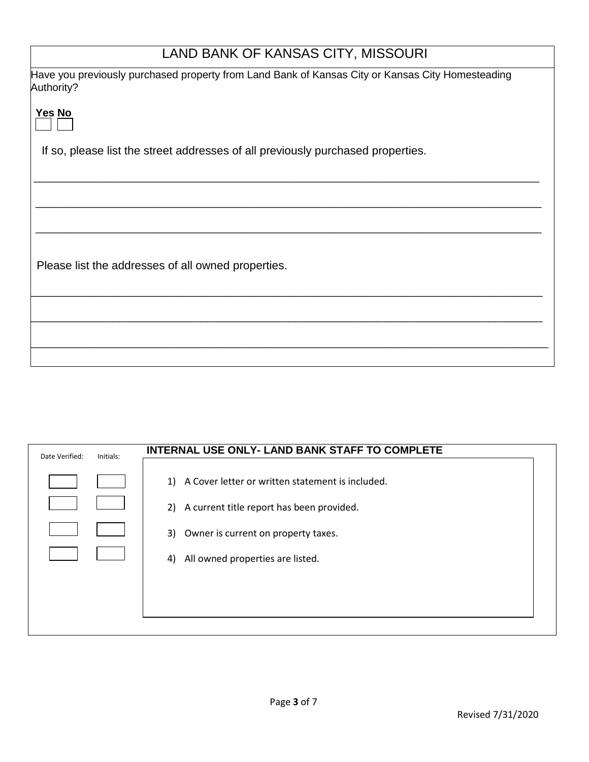| LAND BANK OF KANSAS CITY, MISSOURI                                                                             |
|----------------------------------------------------------------------------------------------------------------|
| Have you previously purchased property from Land Bank of Kansas City or Kansas City Homesteading<br>Authority? |
| Yes No                                                                                                         |
| If so, please list the street addresses of all previously purchased properties.                                |
|                                                                                                                |
|                                                                                                                |
| Please list the addresses of all owned properties.                                                             |
|                                                                                                                |
|                                                                                                                |
|                                                                                                                |

| Date Verified: | Initials: | <b>INTERNAL USE ONLY- LAND BANK STAFF TO COMPLETE</b>                                                  |
|----------------|-----------|--------------------------------------------------------------------------------------------------------|
|                |           | 1)<br>A Cover letter or written statement is included.<br>2) A current title report has been provided. |
|                |           | 3)<br>Owner is current on property taxes.                                                              |
|                |           | All owned properties are listed.<br>4)                                                                 |
|                |           |                                                                                                        |
|                |           |                                                                                                        |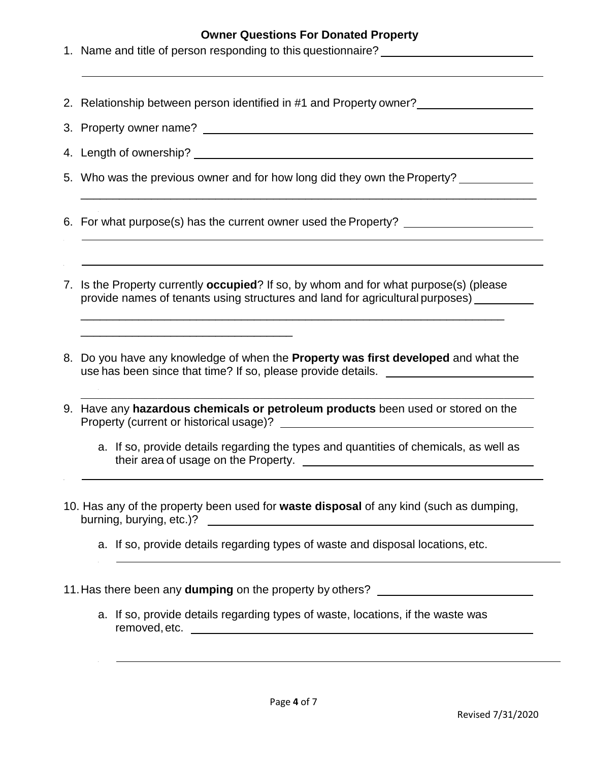### **Owner Questions For Donated Property**

\_\_\_\_\_\_\_\_\_\_\_\_\_\_\_\_\_\_\_\_\_\_\_\_\_\_\_\_\_\_\_\_\_\_\_\_\_\_\_\_\_\_\_\_\_\_\_\_\_\_\_\_\_\_\_\_\_\_\_\_\_\_\_\_\_\_\_\_\_\_\_

- 1. Name and title of person responding to this questionnaire?
- 2. Relationship between person identified in #1 and Property owner?
- 3. Property owner name?
- 4. Length of ownership?
- 5. Who was the previous owner and for how long did they own the Property?

6. For what purpose(s) has the current owner used the Property?

\_\_\_\_\_\_\_\_\_\_\_\_\_\_\_\_\_\_\_\_\_\_\_\_\_\_\_\_\_\_\_\_\_

7. Is the Property currently **occupied**? If so, by whom and for what purpose(s) (please provide names of tenants using structures and land for agricultural purposes)

\_\_\_\_\_\_\_\_\_\_\_\_\_\_\_\_\_\_\_\_\_\_\_\_\_\_\_\_\_\_\_\_\_\_\_\_\_\_\_\_\_\_\_\_\_\_\_\_\_\_\_\_\_\_\_\_\_\_\_\_\_\_\_\_\_\_

- 8. Do you have any knowledge of when the **Property was first developed** and what the use has been since that time? If so, please provide details.
- 9. Have any **hazardous chemicals or petroleum products** been used or stored on the Property (current or historical usage)?
	- a. If so, provide details regarding the types and quantities of chemicals, as well as their area of usage on the Property.

\_\_\_\_\_\_\_\_\_\_\_\_\_\_\_\_\_\_\_\_\_\_\_\_\_\_\_\_\_\_\_\_\_\_\_\_\_\_\_\_\_\_\_\_\_\_\_\_\_\_\_\_\_\_\_\_\_\_\_\_\_\_\_\_\_\_\_\_\_\_\_\_\_\_\_\_\_\_\_\_\_\_\_\_\_\_\_\_\_\_\_\_\_\_\_\_\_\_\_\_\_\_\_\_\_\_

- 10. Has any of the property been used for **waste disposal** of any kind (such as dumping, burning, burying, etc.)?
	- a. If so, provide details regarding types of waste and disposal locations, etc.
- 11.Has there been any **dumping** on the property by others?
	- a. If so, provide details regarding types of waste, locations, if the waste was removed,etc.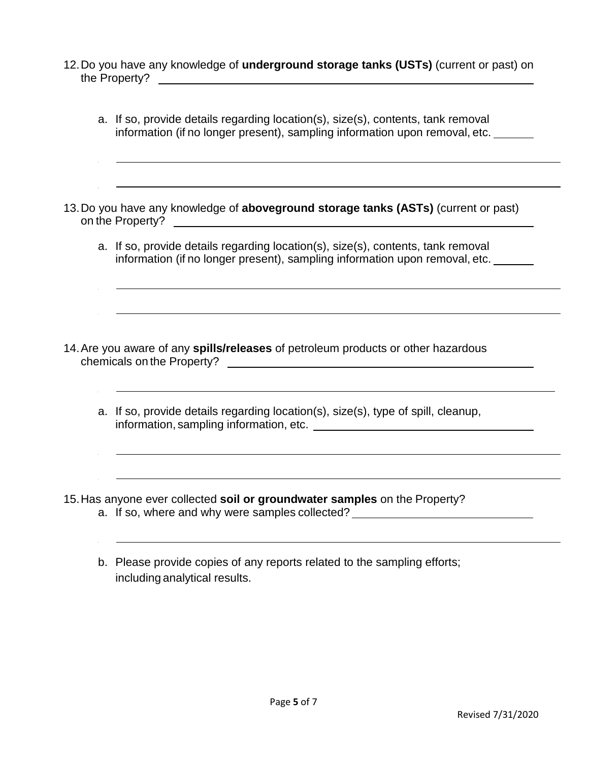- 12.Do you have any knowledge of **underground storage tanks (USTs)** (current or past) on the Property?
- a. If so, provide details regarding location(s), size(s), contents, tank removal information (if no longer present), sampling information upon removal, etc. 13.Do you have any knowledge of **aboveground storage tanks (ASTs)** (current or past) on the Property? <u>example and the Property?</u> a. If so, provide details regarding location(s), size(s), contents, tank removal information (if no longer present), sampling information upon removal, etc. 14.Are you aware of any **spills/releases** of petroleum products or other hazardous chemicals on the Property? a. If so, provide details regarding location(s), size(s), type of spill, cleanup, information, sampling information, etc. 15.Has anyone ever collected **soil or groundwater samples** on the Property? a. If so, where and why were samples collected? \_\_\_\_\_\_\_\_\_\_\_\_\_\_\_\_\_\_\_\_\_\_\_\_\_\_\_\_\_\_\_\_
	- b. Please provide copies of any reports related to the sampling efforts; including analytical results.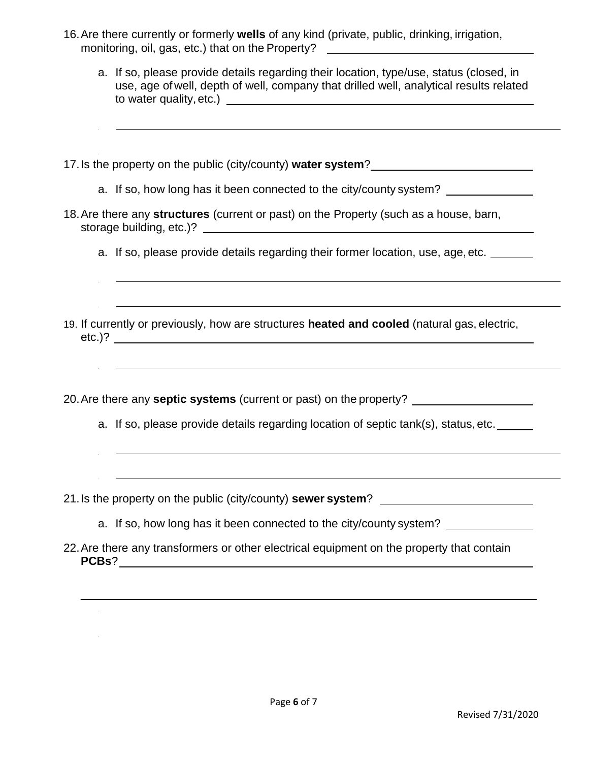- 16.Are there currently or formerly **wells** of any kind (private, public, drinking, irrigation, monitoring, oil, gas, etc.) that on the Property?
	- a. If so, please provide details regarding their location, type/use, status (closed, in use, age of well, depth of well, company that drilled well, analytical results related to water quality, etc.)
- 17. Is the property on the public (city/county) **water system**?
	- a. If so, how long has it been connected to the city/county system?
- 18.Are there any **structures** (current or past) on the Property (such as a house, barn, storage building, etc.)?
	- a. If so, please provide details regarding their former location, use, age, etc.
- 19. If currently or previously, how are structures **heated and cooled** (natural gas, electric, etc.)?
- 20.Are there any **septic systems** (current or past) on the property?
	- a. If so, please provide details regarding location of septic tank(s), status, etc.
- 21.Is the property on the public (city/county) **sewer system**?
	- a. If so, how long has it been connected to the city/county system?
- 22.Are there any transformers or other electrical equipment on the property that contain **PCBs**?

 $\overline{\phantom{a}}$  , and the contribution of the contribution of the contribution of the contribution of the contribution of the contribution of the contribution of the contribution of the contribution of the contribution of the